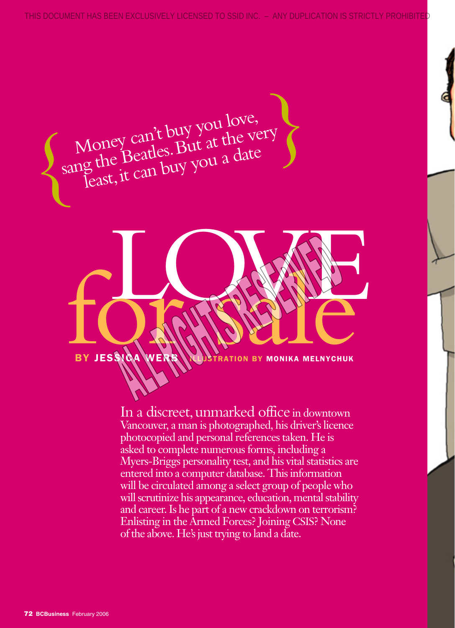

THIS DOCUMENT HAS BEEN EXCLUSIVELY LICENSED TO SSIDE INC. – ANY DUPLICATION IS STRICTLY PROBLEM TO SSIDE  $\mathcal{L}(\mathcal{L})$ 

BY JESSICA WERB ILLUSTRATION BY MONIKA MELNYCHUK

In a discreet, unmarked office in downtown Vancouver, a man is photographed, his driver's licence photocopied and personal references taken. He is asked to complete numerous forms, including a Myers-Briggs personality test, and his vital statistics are entered into a computer database. This information will be circulated among a select group of people who will scrutinize his appearance, education, mental stability and career. Is he part of a new crackdown on terrorism? Enlisting in the Armed Forces? Joining CSIS? None of the above. He's just trying to land a date.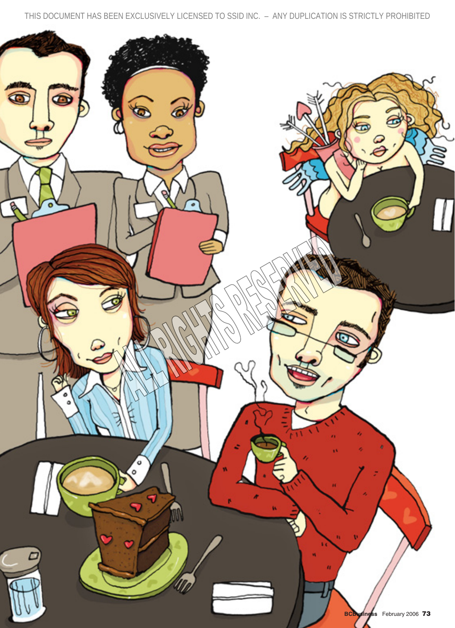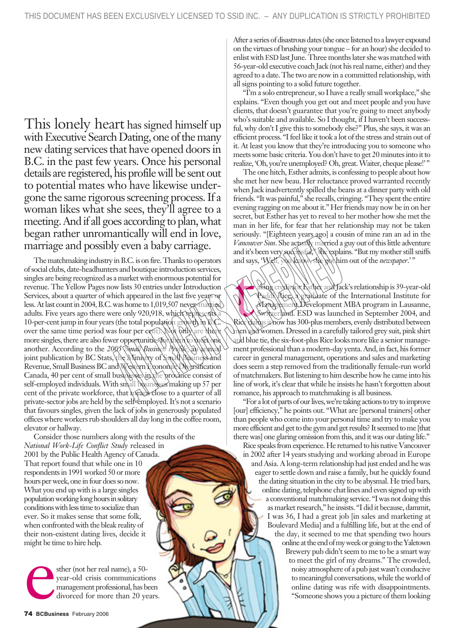This lonely heart has signed himself up with Executive Search Dating, one of the many new dating services that have opened doors in B.C. in the past few years. Once his personal details are registered, his profile will be sent out to potential mates who have likewise undergone the same rigorous screening process. If a woman likes what she sees, they'll agree to a meeting. And if all goes according to plan, what began rather unromantically will end in love, marriage and possibly even a baby carriage.

The matchmaking industry in B.C. is on fire. Thanks to operators of social clubs, date-headhunters and boutique introduction services, singles are being recognized as a market with enormous potential for revenue. The Yellow Pages now lists 30 entries under Introduction Services, about a quarter of which appeared in the last five years or less. At last count in 2004, B.C. was home to 1,019,507 never-married adults. Five years ago there were only 920,918, which represents a 10-per-cent jump in four years (the total population growth in B.C. over the same time period was four per cent). Not only are there more singles, there are also fewer opportunities for them to meet one another. According to the *2005 Small Business Profile*, an annual joint publication by BC Stats, the Ministry of Small Business and Revenue, Small Business BC and Western Economic Diversification Canada, 40 per cent of small businesses in the province consist of self-employed individuals. With small businesses making up 57 per cent of the private workforce, that means close to a quarter of all private-sector jobs are held by the self-employed. It's not a scenario that favours singles, given the lack of jobs in generously populated offices where workers rub shoulders all day long in the coffee room, elevator or hallway.

Consider those numbers along with the results of the *National Work-Life Conflict Study* released in 2001 by the Public Health Agency of Canada. That report found that while one in 10 respondents in 1991 worked 50 or more hours per week, one in four does so now. What you end up with is a large singles population working long hours in solitary conditions with less time to socialize than ever. So it makes sense that some folk, when confronted with the bleak reality of their non-existent dating lives, decide it might be time to hire help.

sther (not her real name), a 50-<br>year-old crisis communication<br>management professional, has b<br>divorced for more than 20 ye<br>**74 BCBusiness** February 2006 year-old crisis communications management professional, has been divorced for more than 20 years.

After a series of disastrous dates (she once listened to a lawyer expound on the virtues of brushing your tongue – for an hour) she decided to enlist with ESD last June. Three months later she was matched with 56-year-old executive coach Jack (not his real name, either) and they agreed to a date. The two are now in a committed relationship, with all signs pointing to a solid future together.

"I'm a solo entrepreneur, so I have a really small workplace," she explains. "Even though you get out and meet people and you have clients, that doesn't guarantee that you're going to meet anybody who's suitable and available. So I thought, if I haven't been successful, why don't I give this to somebody else?" Plus, she says, it was an efficient process. "I feel like it took a lot of the stress and strain out of it. At least you know that they're introducing you to someone who meets some basic criteria. You don't have to get 20 minutes into it to realize, 'Oh, you're unemployed? Oh, great. Waiter, cheque please!'"

The one hitch, Esther admits, is confessing to people about how she met her new beau. Her reluctance proved warranted recently when Jack inadvertently spilled the beans at a dinner party with old friends. "It was painful," she recalls, cringing. "They spent the entire evening ragging on me about it." Her friends may now be in on her secret, but Esther has yet to reveal to her mother how she met the man in her life, for fear that her relationship may not be taken seriously. "[Eighteen years ago] a cousin of mine ran an ad in the *Vancouver Sun*. She actually married a guy out of this little adventure and it's been very successful," she explains. "But my mother still sniffs and says, 'Well, you know, she got him out of the *newspaper*.'"

and say<br>Rice cla<br>men an aking credit for Esther and Jack's relationship is 39-year-old Paddi Rice, a graduate of the International Institute for Management Development MBA program in Lausanne, Switzerland. ESD was launched in September 2004, and Rice claims it now has 300-plus members, evenly distributed between men and women. Dressed in a carefully tailored grey suit, pink shirt and blue tie, the six-foot-plus Rice looks more like a senior management professional than a modern-day yenta. And, in fact, his former career in general management, operations and sales and marketing does seem a step removed from the traditionally female-run world of matchmakers. But listening to him describe how he came into his line of work, it's clear that while he insists he hasn't forgotten about romance, his approach to matchmaking is all business.

"For a lot of parts of our lives, we're taking actions to try to improve [our] efficiency," he points out. "What are [personal trainers] other than people who come into your personal time and try to make you more efficient and get to the gym and get results? It seemed to me [that there was] one glaring omission from this, and it was our dating life." Rice speaks from experience. He returned to his native Vancouver in 2002 after 14 years studying and working abroad in Europe and Asia. A long-term relationship had just ended and he was eager to settle down and raise a family, but he quickly found the dating situation in the city to be abysmal. He tried bars, online dating, telephone chat lines and even signed up with a conventional matchmaking service. "I was not doing this as market research," he insists. "I did it because, dammit, I was 36, I had a great job [in sales and marketing at Boulevard Media] and a fulfilling life, but at the end of the day, it seemed to me that spending two hours online at the end of my week or going to the Yaletown Brewery pub didn't seem to me to be a smart way to meet the girl of my dreams." The crowded, noisy atmosphere of a pub just wasn't conducive to meaningful conversations, while the world of online dating was rife with disappointments. "Someone shows you a picture of them looking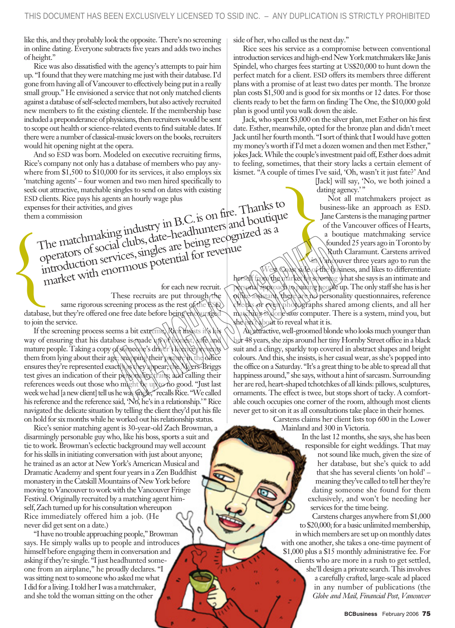like this, and they probably look the opposite. There's no screening in online dating. Everyone subtracts five years and adds two inches of height."

Rice was also dissatisfied with the agency's attempts to pair him up. "I found that they were matching me just with their database. I'd gone from having all of Vancouver to effectively being put in a really small group." He envisioned a service that not only matched clients against a database of self-selected members, but also actively recruited new members to fit the existing clientele. If the membership base included a preponderance of physicians, then recruiters would be sent to scope out health or science-related events to find suitable dates. If there were a number of classical-music lovers on the books, recruiters would hit opening night at the opera.

And so ESD was born. Modeled on executive recruiting firms, Rice's company not only has a database of members who pay anywhere from \$1,500 to \$10,000 for its services, it also employs six 'matching agents' – four women and two men hired specifically to seek out attractive, matchable singles to send on dates with existing ESD clients. Rice pays his agents an hourly wage plus them a commission

expenses for their activities, and gives<br>them a commission<br>The matchmaking industry in B.C. is on fire. Thanks to<br>The matchmaking industry in B.C. is on fire. Thanks to market with enormous potential for revenue a commission<br>The matchmaking industry in B.C. is on the displaced as a<br>The matchmaking industry in B.C. is on the and boutique<br>operators of social clubs, date-headhunters are being recognized as a introduction services, singles are being recognized as a ESD clients. Rice pays his agents an hourly wage plus<br>
ESD clients. Rice pays his agents an hourly wage plus<br>
expenses for their activities, and gives<br>
them a commission<br>
them a commission<br>
them a commission<br>
them a commis

These recruits are put through the

same rigorous screening process as the rest of the ESD database, but they're offered one free date before being encouraged to join the service.

If the screening process seems a bit extreme, Rice insists it's his way of ensuring that his database is made up of honest, safe and mature people. Taking a copy of someone's driver's licence prevents them from lying about their age; snapping their picture in the office ensures they're represented exactly as they appear; the Myers-Briggs test gives an indication of their personality traits; and calling their references weeds out those who might be up to no good. "Just last week we had [a new client] tell us he was single," recalls Rice. "We called his reference and the reference said, 'No, he's in a relationship.'" Rice navigated the delicate situation by telling the client they'd put his file on hold for six months while he worked out his relationship status.

Rice's senior matching agent is 30-year-old Zach Browman, a disarmingly personable guy who, like his boss, sports a suit and tie to work. Browman's eclectic background may well account for his skills in initiating conversation with just about anyone; he trained as an actor at New York's American Musical and Dramatic Academy and spent four years in a Zen Buddhist monastery in the Catskill Mountains of New York before moving to Vancouver to work with the Vancouver Fringe Festival. Originally recruited by a matching agent himself, Zach turned up for his consultation whereupon Rice immediately offered him a job. (He never did get sent on a date.)

"I have no trouble approaching people," Browman says. He simply walks up to people and introduces himself before engaging them in conversation and asking if they're single. "I just headhunted someone from an airplane," he proudly declares. "I was sitting next to someone who asked me what I did for a living. I told her I was a matchmaker, and she told the woman sitting on the other

side of her, who called us the next day."

Rice sees his service as a compromise between conventional introduction services and high-end New York matchmakers like Janis Spindel, who charges fees starting at US\$20,000 to hunt down the perfect match for a client. ESD offers its members three different plans with a promise of at least two dates per month. The bronze plan costs \$1,500 and is good for six months or 12 dates. For those clients ready to bet the farm on finding The One, the \$10,000 gold plan is good until you walk down the aisle.

Jack, who spent \$3,000 on the silver plan, met Esther on his first date. Esther, meanwhile, opted for the bronze plan and didn't meet Jack until her fourth month. "I sort of think that I would have gotten my money's worth if I'd met a dozen women and then met Esther," jokes Jack. While the couple's investment paid off, Esther does admit to feeling, sometimes, that their story lacks a certain element of kismet. "A couple of times I've said, 'Oh, wasn't it just fate?' And

[Jack] will say, 'No, we both joined a dating agency.'"

Not all matchmakers project as business-like an approach as ESD. Jane Carstens is the managing partner of the Vancouver offices of Hearts, a boutique matchmaking service founded 25 years ago in Toronto by Ruth Claramunt. Carstens arrived in Vancouver three years ago to run the

West Coast side of the business, and likes to differentiate herself from the market by stressing what she says is an intimate and personal approach to pairing people up. The only staff she has is her office assistant, there are no personality questionnaires, reference checks or even photographs shared among clients, and all her matching is done *sans* computer. There is a system, mind you, but she isn't about to reveal what it is.

An attractive, well-groomed blonde who looks much younger than her 48 years, she zips around her tiny Hornby Street office in a black suit and a clingy, sparkly top covered in abstract shapes and bright colours. And this, she insists, is her casual wear, as she's popped into the office on a Saturday. "It's a great thing to be able to spread all that happiness around," she says, without a hint of sarcasm. Surrounding her are red, heart-shaped tchotchkes of all kinds: pillows, sculptures, ornaments. The effect is twee, but stops short of tacky. A comfortable couch occupies one corner of the room, although most clients never get to sit on it as all consultations take place in their homes.

Carstens claims her client lists top 600 in the Lower Mainland and 300 in Victoria.

> In the last 12 months, she says, she has been responsible for eight weddings. That may not sound like much, given the size of her database, but she's quick to add that she has several clients 'on hold' – meaning they've called to tell her they're dating someone she found for them exclusively, and won't be needing her services for the time being.

Carstens charges anywhere from \$1,000 to \$20,000; for a basic unlimited membership, in which members are set up on monthly dates with one another, she takes a one-time payment of \$1,000 plus a \$15 monthly administrative fee. For clients who are more in a rush to get settled, she'll design a private search. This involves a carefully crafted, large-scale ad placed in any number of publications (the *Globe and Mail, Financial Post, Vancouver*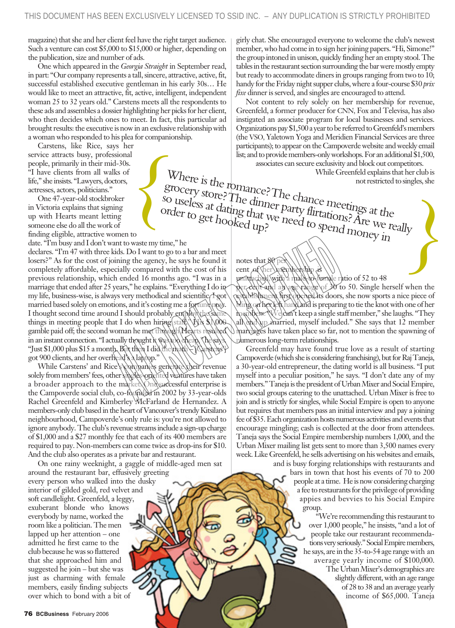magazine) that she and her client feel have the right target audience. Such a venture can cost \$5,000 to \$15,000 or higher, depending on the publication, size and number of ads.

One which appeared in the *Georgia Straight* in September read, in part: "Our company represents a tall, sincere, attractive, active, fit, successful established executive gentleman in his early 30s… He would like to meet an attractive, fit, active, intelligent, independent woman 25 to 32 years old." Carstens meets all the respondents to these ads and assembles a dossier highlighting her picks for her client, who then decides which ones to meet. In fact, this particular ad brought results: the executive is now in an exclusive relationship with a woman who responded to his plea for companionship.

Carstens, like Rice, says her service attracts busy, professional people, primarily in their mid-30s. "I have clients from all walks of life," she insists. "Lawyers, doctors, actresses, actors, politicians."

One 47-year-old stockbroker in Victoria explains that signing up with Hearts meant letting someone else do all the work of finding eligible, attractive women to

declares. "I'm 47 with three kids. Do I want to go to a bar and meet losers?" As for the cost of joining the agency, he says he found it completely affordable, especially compared with the cost of his previous relationship, which ended 16 months ago. "I was in a marriage that ended after 25 years," he explains. "Everything I do in my life, business-wise, is always very methodical and scientific. I got married based solely on emotions, and it's costing me a fortune now. I thought second time around I should probably employ the same things in meeting people that I do when hiring staff." His \$1,000 gamble paid off; the second woman he met through Hearts resulted in an instant connection. "I actually thought it was too cheap," he says. "Just \$1,000 plus \$15 a month. But then I did the math – [Carstens'] got 900 clients, and her overhead's a laptop."

While Carstens' and Rice's companies generate their revenue solely from members' fees, other singles-oriented ventures have taken a broader approach to the market. One successful enterprise is the Campoverde social club, co-founded in 2002 by 33-year-olds Rachel Greenfeld and Kimberley McFarland de Hernandez. A members-only club based in the heart of Vancouver's trendy Kitsilano neighbourhood, Campoverde's only rule is: you're not allowed to ignore anybody. The club's revenue streams include a sign-up charge of \$1,000 and a \$27 monthly fee that each of its 400 members are required to pay. Non-members can come twice as drop-ins for \$10. And the club also operates as a private bar and restaurant.

On one rainy weeknight, a gaggle of middle-aged men sat around the restaurant bar, effusively greeting every person who walked into the dusky interior of gilded gold, red velvet and soft candlelight. Greenfeld, a leggy, exuberant blonde who knows everybody by name, worked the room like a politician. The men lapped up her attention – one admitted he first came to the club because he was so flattered that she approached him and suggested he join – but she was just as charming with female members, easily finding subjects over which to bond with a bit of

girly chat. She encouraged everyone to welcome the club's newest member, who had come in to sign her joining papers. "Hi, Simone!" the group intoned in unison, quickly finding her an empty stool. The tables in the restaurant section surrounding the bar were mostly empty but ready to accommodate diners in groups ranging from two to 10; handy for the Friday night supper clubs, where a four-course \$30 *prix fixe* dinner is served, and singles are encouraged to attend.

Not content to rely solely on her membership for revenue, Greenfeld, a former producer for CNN, Fox and Televisa, has also instigated an associate program for local businesses and services. Organizations pay \$1,500 a year to be referred to Greenfeld's members (the VSO, Yaletown Yoga and Meridien Financial Services are three participants); to appear on the Campoverde website and weekly email list; and to provide members-only workshops. For an additional \$1,500, associates can secure exclusivity and block out competitors.

While Greenfeld explains that her club is

actresses, accession of the 47-year-old stockbroker<br>in Victoria explains that signing<br>up with Hearts meant letting<br>someone else do all the work of<br>finding eligible, attractive women to<br>date. "I'm busy and I don't want to w not restricted to singles, she Where is the romance? The chance meetings at the<br>so useless at dating that we neet furtations? Are we re<br>order to get hooked we need to spend money is grocery store? The dinner party fliredings at the<br>so useless at dating that we need to spend money is really So useless at dating that we need to spend money in and the spend with the spendix of  $S$  to  $\theta$  is the spendix of  $S$  to  $\theta$  useless at dating that we need to spend money in and the spendix of  $S$  to  $\theta$  and  $\theta$  is

notes that 80 per

cent of her membership is

unattached, with a male-to-female ratio of 52 to 48 per cent and an age range of 30 to 50. Single herself when the establishment first opened its doors, she now sports a nice piece of bling on her left hand and is preparing to tie the knot with one of her members. "We can't keep a single staff member," she laughs. "They all end up married, myself included." She says that 12 member marriages have taken place so far, not to mention the spawning of numerous long-term relationships.

Greenfeld may have found true love as a result of starting Campoverde (which she is considering franchising), but for Raj Taneja, a 30-year-old entrepreneur, the dating world is all business. "I put myself into a peculiar position," he says. "I don't date any of my members." Taneja is the president of Urban Mixer and Social Empire, two social groups catering to the unattached. Urban Mixer is free to join and is strictly for singles, while Social Empire is open to anyone but requires that members pass an initial interview and pay a joining fee of \$35. Each organization hosts numerous activities and events that encourage mingling; cash is collected at the door from attendees. Taneja says the Social Empire membership numbers 1,000, and the Urban Mixer mailing list gets sent to more than 3,500 names every week. Like Greenfeld, he sells advertising on his websites and emails,

and is busy forging relationships with restaurants and bars in town that host his events of 70 to 200 people at a time. He is now considering charging a fee to restaurants for the privilege of providing appies and bevvies to his Social Empire group.

> "We're recommending this restaurant to over 1,000 people," he insists, "and a lot of people take our restaurant recommendations very seriously." Social Empire members, he says, are in the 35-to-54 age range with an average yearly income of \$100,000. The Urban Mixer's demographics are slightly different, with an age range of 28 to 38 and an average yearly income of \$65,000. Taneja